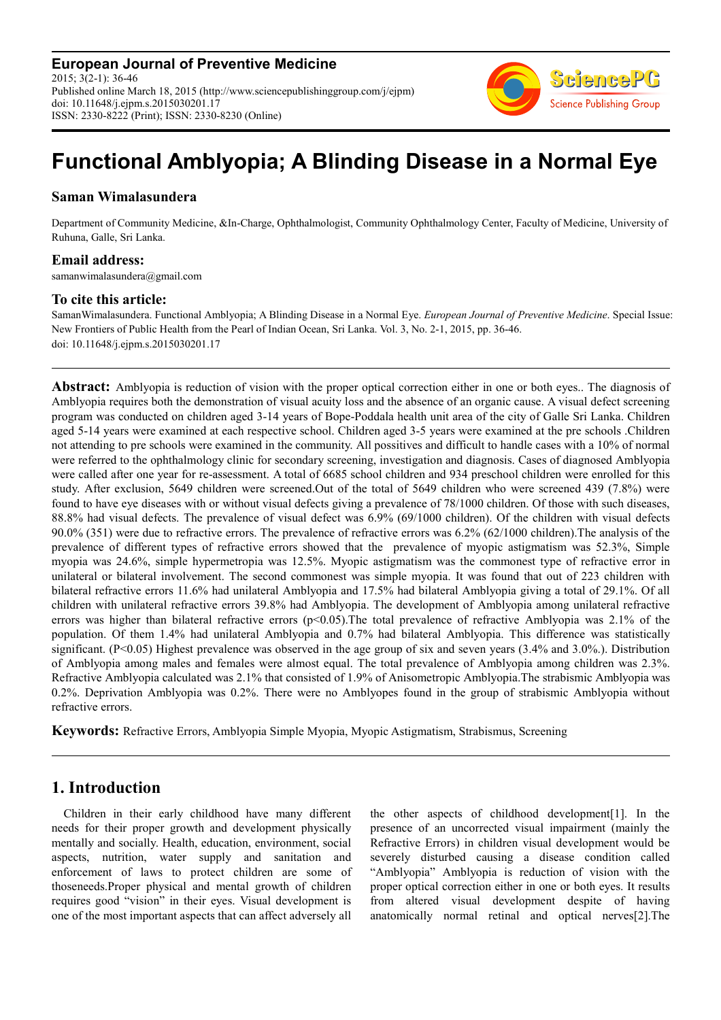**European Journal of Preventive Medicine** 2015; 3(2-1): 36-46 Published online March 18, 2015 (http://www.sciencepublishinggroup.com/j/ejpm) doi: 10.11648/j.ejpm.s.2015030201.17 ISSN: 2330-8222 (Print); ISSN: 2330-8230 (Online)



# **Functional Amblyopia; A Blinding Disease in a Normal Eye**

## **Saman Wimalasundera**

Department of Community Medicine, &In-Charge, Ophthalmologist, Community Ophthalmology Center, Faculty of Medicine, University of Ruhuna, Galle, Sri Lanka.

## **Email address:**

samanwimalasundera@gmail.com

## **To cite this article:**

SamanWimalasundera. Functional Amblyopia; A Blinding Disease in a Normal Eye. *European Journal of Preventive Medicine*. Special Issue: New Frontiers of Public Health from the Pearl of Indian Ocean, Sri Lanka. Vol. 3, No. 2-1, 2015, pp. 36-46. doi: 10.11648/j.ejpm.s.2015030201.17

**Abstract:** Amblyopia is reduction of vision with the proper optical correction either in one or both eyes.. The diagnosis of Amblyopia requires both the demonstration of visual acuity loss and the absence of an organic cause. A visual defect screening program was conducted on children aged 3-14 years of Bope-Poddala health unit area of the city of Galle Sri Lanka. Children aged 5-14 years were examined at each respective school. Children aged 3-5 years were examined at the pre schools .Children not attending to pre schools were examined in the community. All possitives and difficult to handle cases with a 10% of normal were referred to the ophthalmology clinic for secondary screening, investigation and diagnosis. Cases of diagnosed Amblyopia were called after one year for re-assessment. A total of 6685 school children and 934 preschool children were enrolled for this study. After exclusion, 5649 children were screened.Out of the total of 5649 children who were screened 439 (7.8%) were found to have eye diseases with or without visual defects giving a prevalence of 78/1000 children. Of those with such diseases, 88.8% had visual defects. The prevalence of visual defect was 6.9% (69/1000 children). Of the children with visual defects 90.0% (351) were due to refractive errors. The prevalence of refractive errors was 6.2% (62/1000 children).The analysis of the prevalence of different types of refractive errors showed that the prevalence of myopic astigmatism was 52.3%, Simple myopia was 24.6%, simple hypermetropia was 12.5%. Myopic astigmatism was the commonest type of refractive error in unilateral or bilateral involvement. The second commonest was simple myopia. It was found that out of 223 children with bilateral refractive errors 11.6% had unilateral Amblyopia and 17.5% had bilateral Amblyopia giving a total of 29.1%. Of all children with unilateral refractive errors 39.8% had Amblyopia. The development of Amblyopia among unilateral refractive errors was higher than bilateral refractive errors  $(p<0.05)$ . The total prevalence of refractive Amblyopia was 2.1% of the population. Of them 1.4% had unilateral Amblyopia and 0.7% had bilateral Amblyopia. This difference was statistically significant.  $(P<0.05)$  Highest prevalence was observed in the age group of six and seven years (3.4% and 3.0%). Distribution of Amblyopia among males and females were almost equal. The total prevalence of Amblyopia among children was 2.3%. Refractive Amblyopia calculated was 2.1% that consisted of 1.9% of Anisometropic Amblyopia.The strabismic Amblyopia was 0.2%. Deprivation Amblyopia was 0.2%. There were no Amblyopes found in the group of strabismic Amblyopia without refractive errors.

**Keywords:** Refractive Errors, Amblyopia Simple Myopia, Myopic Astigmatism, Strabismus, Screening

# **1. Introduction**

Children in their early childhood have many different needs for their proper growth and development physically mentally and socially. Health, education, environment, social aspects, nutrition, water supply and sanitation and enforcement of laws to protect children are some of thoseneeds.Proper physical and mental growth of children requires good "vision" in their eyes. Visual development is one of the most important aspects that can affect adversely all the other aspects of childhood development[1]. In the presence of an uncorrected visual impairment (mainly the Refractive Errors) in children visual development would be severely disturbed causing a disease condition called "Amblyopia" Amblyopia is reduction of vision with the proper optical correction either in one or both eyes. It results from altered visual development despite of having anatomically normal retinal and optical nerves[2].The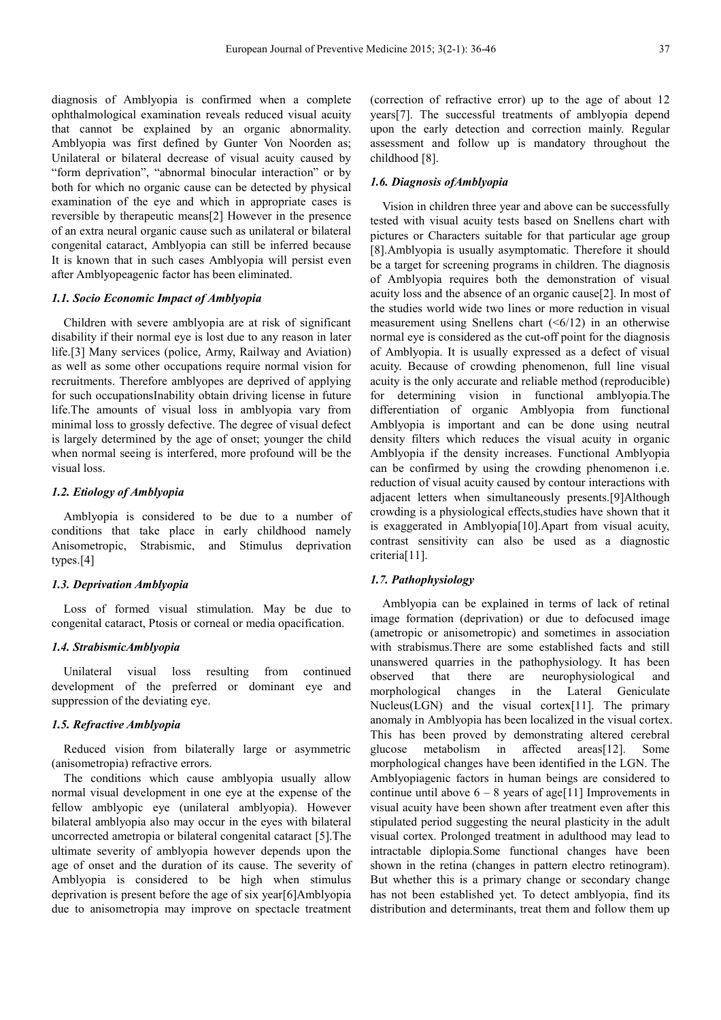diagnosis of Amblyopia is confirmed when a complete ophthalmological examination reveals reduced visual acuity that cannot be explained by an organic abnormality. Amblyopia was first defined by Gunter Von Noorden as; Unilateral or bilateral decrease of visual acuity caused by "form deprivation", "abnormal binocular interaction" or by both for which no organic cause can be detected by physical examination of the eye and which in appropriate cases is reversible by therapeutic means[2] However in the presence of an extra neural organic cause such as unilateral or bilateral congenital cataract, Amblyopia can still be inferred because It is known that in such cases Amblyopia will persist even after Amblyopeagenic factor has been eliminated.

## *1.1. Socio Economic Impact of Amblyopia*

Children with severe amblyopia are at risk of significant disability if their normal eye is lost due to any reason in later life.[3] Many services (police, Army, Railway and Aviation) as well as some other occupations require normal vision for recruitments. Therefore amblyopes are deprived of applying for such occupationsInability obtain driving license in future life.The amounts of visual loss in amblyopia vary from minimal loss to grossly defective. The degree of visual defect is largely determined by the age of onset; younger the child when normal seeing is interfered, more profound will be the visual loss.

#### *1.2. Etiology of Amblyopia*

Amblyopia is considered to be due to a number of conditions that take place in early childhood namely Anisometropic, Strabismic, and Stimulus deprivation types.[4]

#### *1.3. Deprivation Amblyopia*

Loss of formed visual stimulation. May be due to congenital cataract, Ptosis or corneal or media opacification.

## *1.4. StrabismicAmblyopia*

Unilateral visual loss resulting from continued development of the preferred or dominant eye and suppression of the deviating eye.

## *1.5. Refractive Amblyopia*

Reduced vision from bilaterally large or asymmetric (anisometropia) refractive errors.

The conditions which cause amblyopia usually allow normal visual development in one eye at the expense of the fellow amblyopic eye (unilateral amblyopia). However bilateral amblyopia also may occur in the eyes with bilateral uncorrected ametropia or bilateral congenital cataract [5].The ultimate severity of amblyopia however depends upon the age of onset and the duration of its cause. The severity of Amblyopia is considered to be high when stimulus deprivation is present before the age of six year[6]Amblyopia due to anisometropia may improve on spectacle treatment (correction of refractive error) up to the age of about 12 years[7]. The successful treatments of amblyopia depend upon the early detection and correction mainly. Regular assessment and follow up is mandatory throughout the childhood [8].

### *1.6. Diagnosis ofAmblyopia*

Vision in children three year and above can be successfully tested with visual acuity tests based on Snellens chart with pictures or Characters suitable for that particular age group [8].Amblyopia is usually asymptomatic. Therefore it should be a target for screening programs in children. The diagnosis of Amblyopia requires both the demonstration of visual acuity loss and the absence of an organic cause[2]. In most of the studies world wide two lines or more reduction in visual measurement using Snellens chart  $( $6/12$ )$  in an otherwise normal eye is considered as the cut-off point for the diagnosis of Amblyopia. It is usually expressed as a defect of visual acuity. Because of crowding phenomenon, full line visual acuity is the only accurate and reliable method (reproducible) for determining vision in functional amblyopia.The differentiation of organic Amblyopia from functional Amblyopia is important and can be done using neutral density filters which reduces the visual acuity in organic Amblyopia if the density increases. Functional Amblyopia can be confirmed by using the crowding phenomenon i.e. reduction of visual acuity caused by contour interactions with adjacent letters when simultaneously presents.[9]Although crowding is a physiological effects,studies have shown that it is exaggerated in Amblyopia[10].Apart from visual acuity, contrast sensitivity can also be used as a diagnostic criteria[11].

#### *1.7. Pathophysiology*

Amblyopia can be explained in terms of lack of retinal image formation (deprivation) or due to defocused image (ametropic or anisometropic) and sometimes in association with strabismus.There are some established facts and still unanswered quarries in the pathophysiology. It has been observed that there are neurophysiological and morphological changes in the Lateral Geniculate Nucleus(LGN) and the visual cortex[11]. The primary anomaly in Amblyopia has been localized in the visual cortex. This has been proved by demonstrating altered cerebral glucose metabolism in affected areas[12]. Some morphological changes have been identified in the LGN. The Amblyopiagenic factors in human beings are considered to continue until above  $6 - 8$  years of age[11] Improvements in visual acuity have been shown after treatment even after this stipulated period suggesting the neural plasticity in the adult visual cortex. Prolonged treatment in adulthood may lead to intractable diplopia.Some functional changes have been shown in the retina (changes in pattern electro retinogram). But whether this is a primary change or secondary change has not been established yet. To detect amblyopia, find its distribution and determinants, treat them and follow them up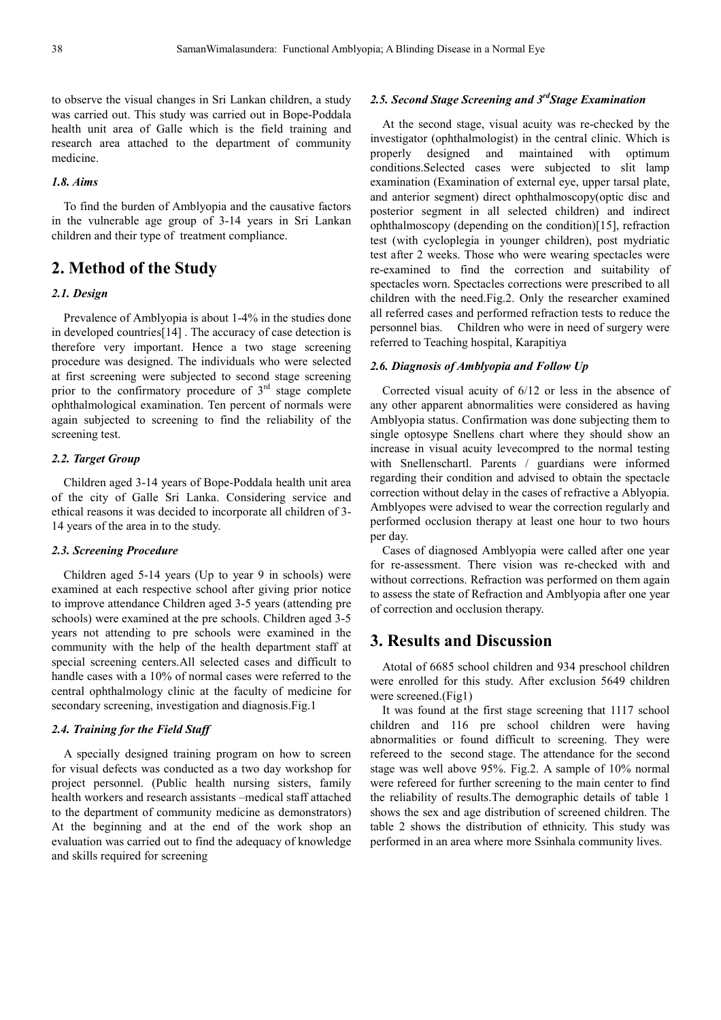to observe the visual changes in Sri Lankan children, a study was carried out. This study was carried out in Bope-Poddala health unit area of Galle which is the field training and research area attached to the department of community medicine.

## *1.8. Aims*

To find the burden of Amblyopia and the causative factors in the vulnerable age group of 3-14 years in Sri Lankan children and their type of treatment compliance.

# **2. Method of the Study**

## *2.1. Design*

Prevalence of Amblyopia is about 1-4% in the studies done in developed countries[14] . The accuracy of case detection is therefore very important. Hence a two stage screening procedure was designed. The individuals who were selected at first screening were subjected to second stage screening prior to the confirmatory procedure of  $3<sup>rd</sup>$  stage complete ophthalmological examination. Ten percent of normals were again subjected to screening to find the reliability of the screening test.

#### *2.2. Target Group*

Children aged 3-14 years of Bope-Poddala health unit area of the city of Galle Sri Lanka. Considering service and ethical reasons it was decided to incorporate all children of 3- 14 years of the area in to the study.

## *2.3. Screening Procedure*

Children aged 5-14 years (Up to year 9 in schools) were examined at each respective school after giving prior notice to improve attendance Children aged 3-5 years (attending pre schools) were examined at the pre schools. Children aged 3-5 years not attending to pre schools were examined in the community with the help of the health department staff at special screening centers.All selected cases and difficult to handle cases with a 10% of normal cases were referred to the central ophthalmology clinic at the faculty of medicine for secondary screening, investigation and diagnosis.Fig.1

#### *2.4. Training for the Field Staff*

A specially designed training program on how to screen for visual defects was conducted as a two day workshop for project personnel. (Public health nursing sisters, family health workers and research assistants –medical staff attached to the department of community medicine as demonstrators) At the beginning and at the end of the work shop an evaluation was carried out to find the adequacy of knowledge and skills required for screening

## *2.5. Second Stage Screening and 3rdStage Examination*

At the second stage, visual acuity was re-checked by the investigator (ophthalmologist) in the central clinic. Which is properly designed and maintained with optimum conditions.Selected cases were subjected to slit lamp examination (Examination of external eye, upper tarsal plate, and anterior segment) direct ophthalmoscopy(optic disc and posterior segment in all selected children) and indirect ophthalmoscopy (depending on the condition)[15], refraction test (with cycloplegia in younger children), post mydriatic test after 2 weeks. Those who were wearing spectacles were re-examined to find the correction and suitability of spectacles worn. Spectacles corrections were prescribed to all children with the need.Fig.2. Only the researcher examined all referred cases and performed refraction tests to reduce the personnel bias. Children who were in need of surgery were referred to Teaching hospital, Karapitiya

### *2.6. Diagnosis of Amblyopia and Follow Up*

Corrected visual acuity of 6/12 or less in the absence of any other apparent abnormalities were considered as having Amblyopia status. Confirmation was done subjecting them to single optosype Snellens chart where they should show an increase in visual acuity levecompred to the normal testing with Snellenschartl. Parents / guardians were informed regarding their condition and advised to obtain the spectacle correction without delay in the cases of refractive a Ablyopia. Amblyopes were advised to wear the correction regularly and performed occlusion therapy at least one hour to two hours per day.

Cases of diagnosed Amblyopia were called after one year for re-assessment. There vision was re-checked with and without corrections. Refraction was performed on them again to assess the state of Refraction and Amblyopia after one year of correction and occlusion therapy.

# **3. Results and Discussion**

Atotal of 6685 school children and 934 preschool children were enrolled for this study. After exclusion 5649 children were screened.(Fig1)

It was found at the first stage screening that 1117 school children and 116 pre school children were having abnormalities or found difficult to screening. They were refereed to the second stage. The attendance for the second stage was well above 95%. Fig.2. A sample of 10% normal were refereed for further screening to the main center to find the reliability of results.The demographic details of table 1 shows the sex and age distribution of screened children. The table 2 shows the distribution of ethnicity. This study was performed in an area where more Ssinhala community lives.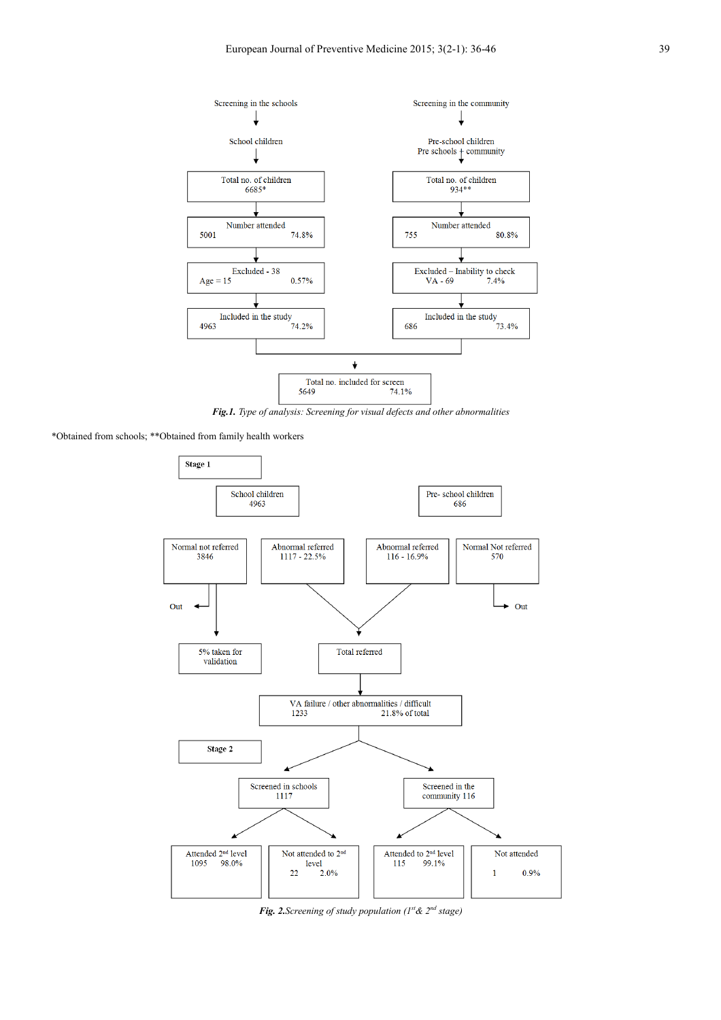

*Fig.1. Type of analysis: Screening for visual defects and other abnormalities* 

\*Obtained from schools; \*\*Obtained from family health workers



*Fig. 2.Screening of study population (1st& 2nd stage)*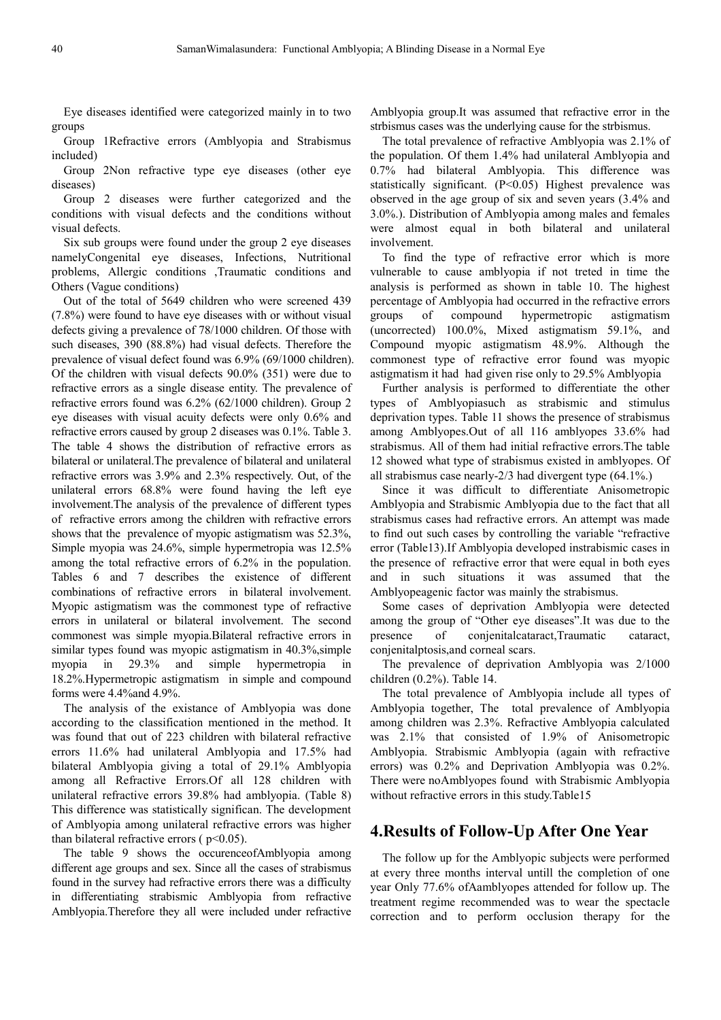Eye diseases identified were categorized mainly in to two groups

Group 1Refractive errors (Amblyopia and Strabismus included)

Group 2Non refractive type eye diseases (other eye diseases)

Group 2 diseases were further categorized and the conditions with visual defects and the conditions without visual defects.

Six sub groups were found under the group 2 eye diseases namelyCongenital eye diseases, Infections, Nutritional problems, Allergic conditions ,Traumatic conditions and Others (Vague conditions)

Out of the total of 5649 children who were screened 439 (7.8%) were found to have eye diseases with or without visual defects giving a prevalence of 78/1000 children. Of those with such diseases, 390 (88.8%) had visual defects. Therefore the prevalence of visual defect found was 6.9% (69/1000 children). Of the children with visual defects 90.0% (351) were due to refractive errors as a single disease entity. The prevalence of refractive errors found was 6.2% (62/1000 children). Group 2 eye diseases with visual acuity defects were only 0.6% and refractive errors caused by group 2 diseases was 0.1%. Table 3. The table 4 shows the distribution of refractive errors as bilateral or unilateral.The prevalence of bilateral and unilateral refractive errors was 3.9% and 2.3% respectively. Out, of the unilateral errors 68.8% were found having the left eye involvement.The analysis of the prevalence of different types of refractive errors among the children with refractive errors shows that the prevalence of myopic astigmatism was 52.3%, Simple myopia was 24.6%, simple hypermetropia was 12.5% among the total refractive errors of 6.2% in the population. Tables 6 and 7 describes the existence of different combinations of refractive errors in bilateral involvement. Myopic astigmatism was the commonest type of refractive errors in unilateral or bilateral involvement. The second commonest was simple myopia.Bilateral refractive errors in similar types found was myopic astigmatism in 40.3%, simple myopia in 29.3% and simple hypermetropia in 18.2%.Hypermetropic astigmatism in simple and compound forms were 4.4%and 4.9%.

The analysis of the existance of Amblyopia was done according to the classification mentioned in the method. It was found that out of 223 children with bilateral refractive errors 11.6% had unilateral Amblyopia and 17.5% had bilateral Amblyopia giving a total of 29.1% Amblyopia among all Refractive Errors.Of all 128 children with unilateral refractive errors 39.8% had amblyopia. (Table 8) This difference was statistically significan. The development of Amblyopia among unilateral refractive errors was higher than bilateral refractive errors ( $p<0.05$ ).

The table 9 shows the occurenceofAmblyopia among different age groups and sex. Since all the cases of strabismus found in the survey had refractive errors there was a difficulty in differentiating strabismic Amblyopia from refractive Amblyopia.Therefore they all were included under refractive

Amblyopia group.It was assumed that refractive error in the strbismus cases was the underlying cause for the strbismus.

The total prevalence of refractive Amblyopia was 2.1% of the population. Of them 1.4% had unilateral Amblyopia and 0.7% had bilateral Amblyopia. This difference was statistically significant. (P<0.05) Highest prevalence was observed in the age group of six and seven years (3.4% and 3.0%.). Distribution of Amblyopia among males and females were almost equal in both bilateral and unilateral involvement.

To find the type of refractive error which is more vulnerable to cause amblyopia if not treted in time the analysis is performed as shown in table 10. The highest percentage of Amblyopia had occurred in the refractive errors groups of compound hypermetropic astigmatism (uncorrected) 100.0%, Mixed astigmatism 59.1%, and Compound myopic astigmatism 48.9%. Although the commonest type of refractive error found was myopic astigmatism it had had given rise only to 29.5% Amblyopia

Further analysis is performed to differentiate the other types of Amblyopiasuch as strabismic and stimulus deprivation types. Table 11 shows the presence of strabismus among Amblyopes.Out of all 116 amblyopes 33.6% had strabismus. All of them had initial refractive errors.The table 12 showed what type of strabismus existed in amblyopes. Of all strabismus case nearly-2/3 had divergent type (64.1%.)

Since it was difficult to differentiate Anisometropic Amblyopia and Strabismic Amblyopia due to the fact that all strabismus cases had refractive errors. An attempt was made to find out such cases by controlling the variable "refractive error (Table13).If Amblyopia developed instrabismic cases in the presence of refractive error that were equal in both eyes and in such situations it was assumed that the Amblyopeagenic factor was mainly the strabismus.

Some cases of deprivation Amblyopia were detected among the group of "Other eye diseases".It was due to the presence of conjenitalcataract,Traumatic cataract, conjenitalptosis,and corneal scars.

The prevalence of deprivation Amblyopia was 2/1000 children (0.2%). Table 14.

The total prevalence of Amblyopia include all types of Amblyopia together, The total prevalence of Amblyopia among children was 2.3%. Refractive Amblyopia calculated was 2.1% that consisted of 1.9% of Anisometropic Amblyopia. Strabismic Amblyopia (again with refractive errors) was 0.2% and Deprivation Amblyopia was 0.2%. There were noAmblyopes found with Strabismic Amblyopia without refractive errors in this study.Table15

## **4.Results of Follow-Up After One Year**

The follow up for the Amblyopic subjects were performed at every three months interval untill the completion of one year Only 77.6% ofAamblyopes attended for follow up. The treatment regime recommended was to wear the spectacle correction and to perform occlusion therapy for the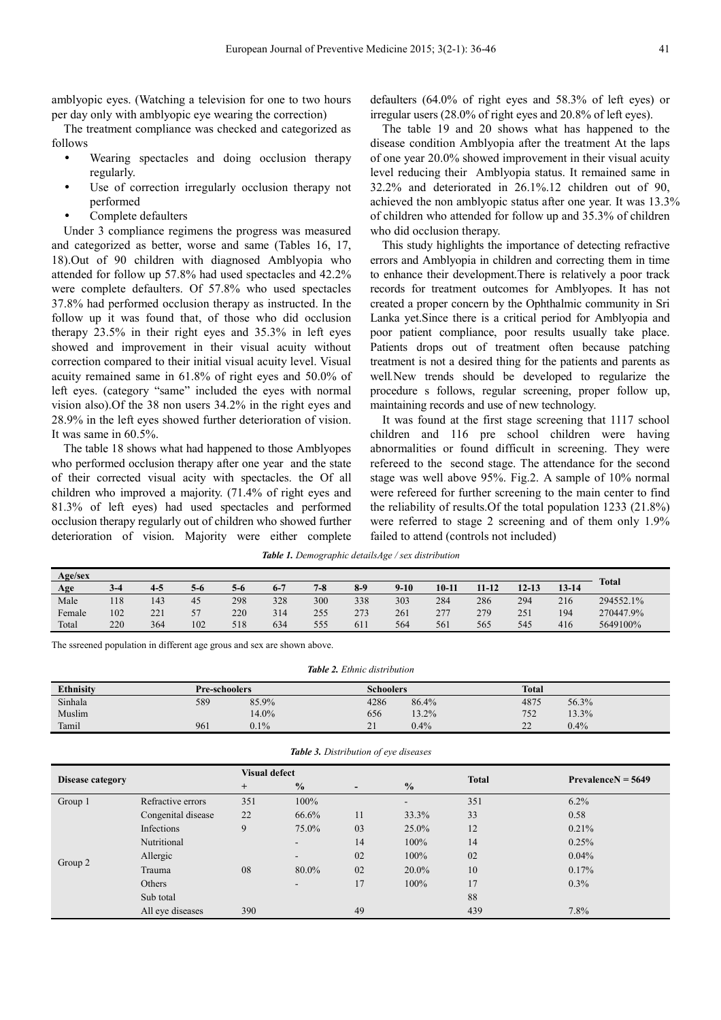amblyopic eyes. (Watching a television for one to two hours per day only with amblyopic eye wearing the correction)

The treatment compliance was checked and categorized as follows

- Wearing spectacles and doing occlusion therapy regularly.
- Use of correction irregularly occlusion therapy not performed
- Complete defaulters

Under 3 compliance regimens the progress was measured and categorized as better, worse and same (Tables 16, 17, 18).Out of 90 children with diagnosed Amblyopia who attended for follow up 57.8% had used spectacles and 42.2% were complete defaulters. Of 57.8% who used spectacles 37.8% had performed occlusion therapy as instructed. In the follow up it was found that, of those who did occlusion therapy 23.5% in their right eyes and 35.3% in left eyes showed and improvement in their visual acuity without correction compared to their initial visual acuity level. Visual acuity remained same in 61.8% of right eyes and 50.0% of left eyes. (category "same" included the eyes with normal vision also).Of the 38 non users 34.2% in the right eyes and 28.9% in the left eyes showed further deterioration of vision. It was same in 60.5%.

The table 18 shows what had happened to those Amblyopes who performed occlusion therapy after one year and the state of their corrected visual acity with spectacles. the Of all children who improved a majority. (71.4% of right eyes and 81.3% of left eyes) had used spectacles and performed occlusion therapy regularly out of children who showed further deterioration of vision. Majority were either complete

defaulters (64.0% of right eyes and 58.3% of left eyes) or irregular users (28.0% of right eyes and 20.8% of left eyes).

The table 19 and 20 shows what has happened to the disease condition Amblyopia after the treatment At the laps of one year 20.0% showed improvement in their visual acuity level reducing their Amblyopia status. It remained same in 32.2% and deteriorated in 26.1%.12 children out of 90, achieved the non amblyopic status after one year. It was 13.3% of children who attended for follow up and 35.3% of children who did occlusion therapy.

This study highlights the importance of detecting refractive errors and Amblyopia in children and correcting them in time to enhance their development.There is relatively a poor track records for treatment outcomes for Amblyopes. It has not created a proper concern by the Ophthalmic community in Sri Lanka yet.Since there is a critical period for Amblyopia and poor patient compliance, poor results usually take place. Patients drops out of treatment often because patching treatment is not a desired thing for the patients and parents as well*.*New trends should be developed to regularize the procedure s follows, regular screening, proper follow up, maintaining records and use of new technology.

It was found at the first stage screening that 1117 school children and 116 pre school children were having abnormalities or found difficult in screening. They were refereed to the second stage. The attendance for the second stage was well above 95%. Fig.2. A sample of 10% normal were refereed for further screening to the main center to find the reliability of results.Of the total population 1233 (21.8%) were referred to stage 2 screening and of them only 1.9% failed to attend (controls not included)

*Table 1. Demographic detailsAge / sex distribution* 

| Age/sex |     |         |     |     |         |         |       |        |           |           |           |           | <b>Total</b> |
|---------|-----|---------|-----|-----|---------|---------|-------|--------|-----------|-----------|-----------|-----------|--------------|
| Age     | 3-4 | $4 - 5$ | 5-6 | 5-6 | $6 - 7$ | $7 - 8$ | $8-9$ | $9-10$ | $10 - 11$ | $11 - 12$ | $12 - 13$ | $13 - 14$ |              |
| Male    | 118 | 143     | 45  | 298 | 328     | 300     | 338   | 303    | 284       | 286       | 294       | 216       | 294552.1%    |
| Female  | 102 | 221     | 57  | 220 | 314     | 255     | 273   | 261    | 277       | 279       | 251       | 194       | 270447.9%    |
| Total   | 220 | 364     | 102 | 518 | 634     | 555     | 611   | 564    | 561       | 565       | 545       | 416       | 5649100%     |

The ssreened population in different age grous and sex are shown above.

*Table 2. Ethnic distribution* 

| <b>Ethnisity</b> | <b>Pre-schoolers</b> |       | <b>Schoolers</b> |       | <b>Total</b>        |         |
|------------------|----------------------|-------|------------------|-------|---------------------|---------|
| Sinhala          | 589                  | 85.9% | 4286             | 86.4% | 4875                | 56.3%   |
| Muslim           |                      | 14.0% | 656              | 13.2% | 752                 | 13.3%   |
| Tamil            | 961                  | 0.1%  | 21<br>$\sim$ 1   | 0.4%  | $\mathcal{L}$<br>∠∠ | $0.4\%$ |

|                  |                    | <b>Visual defect</b> |               |                          |                | <b>Total</b> | $PrevalenceN = 5649$ |  |
|------------------|--------------------|----------------------|---------------|--------------------------|----------------|--------------|----------------------|--|
| Disease category |                    | $^{+}$               | $\frac{0}{0}$ | $\overline{\phantom{0}}$ | $\frac{0}{0}$  |              |                      |  |
| Group 1          | Refractive errors  | 351                  | 100%          |                          | $\blacksquare$ | 351          | $6.2\%$              |  |
|                  | Congenital disease | 22                   | 66.6%         | 11                       | 33.3%          | 33           | 0.58                 |  |
|                  | Infections         | 9                    | 75.0%         | 03                       | 25.0%          | 12           | 0.21%                |  |
|                  | Nutritional        |                      | $\sim$        | 14                       | 100%           | 14           | 0.25%                |  |
|                  | Allergic           |                      | $\sim$        | 02                       | 100%           | 02           | 0.04%                |  |
| Group 2          | Trauma             | 08                   | 80.0%         | 02                       | $20.0\%$       | 10           | 0.17%                |  |
|                  | Others             |                      | $\sim$        | 17                       | 100%           | 17           | $0.3\%$              |  |
|                  | Sub total          |                      |               |                          |                | 88           |                      |  |
|                  | All eye diseases   | 390                  |               | 49                       |                | 439          | 7.8%                 |  |

*Table 3. Distribution of eye diseases*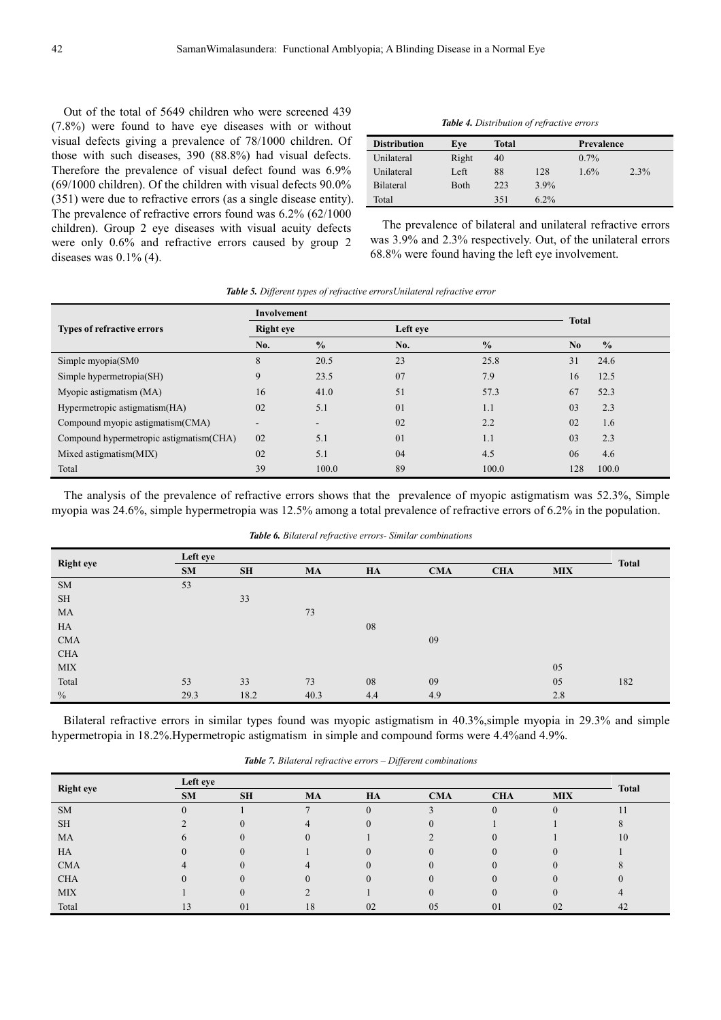Out of the total of 5649 children who were screened 439 (7.8%) were found to have eye diseases with or without visual defects giving a prevalence of 78/1000 children. Of those with such diseases, 390 (88.8%) had visual defects. Therefore the prevalence of visual defect found was 6.9% (69/1000 children). Of the children with visual defects 90.0% (351) were due to refractive errors (as a single disease entity). The prevalence of refractive errors found was 6.2% (62/1000 children). Group 2 eye diseases with visual acuity defects were only 0.6% and refractive errors caused by group 2 diseases was  $0.1\%$  (4).

|  | <b>Table 4.</b> Distribution of refractive errors |  |
|--|---------------------------------------------------|--|
|  |                                                   |  |

| <b>Distribution</b> | Eve   | Total |         | Prevalence |      |
|---------------------|-------|-------|---------|------------|------|
| Unilateral          | Right | 40    |         | $0.7\%$    |      |
| Unilateral          | Left  | 88    | 128     | 1.6%       | 2.3% |
| Bilateral           | Both  | 223   | $3.9\%$ |            |      |
| Total               |       | 351   | $6.2\%$ |            |      |

The prevalence of bilateral and unilateral refractive errors was 3.9% and 2.3% respectively. Out, of the unilateral errors 68.8% were found having the left eye involvement.

|  |  | <b>Table 5.</b> Different types of refractive errorsUnilateral refractive error |  |
|--|--|---------------------------------------------------------------------------------|--|
|  |  |                                                                                 |  |

|                                          | Involvement      |                          |          | <b>Total</b>  |                |               |
|------------------------------------------|------------------|--------------------------|----------|---------------|----------------|---------------|
| Types of refractive errors               | <b>Right</b> eye |                          | Left eye |               |                |               |
|                                          | No.              | $\frac{0}{0}$            | No.      | $\frac{0}{0}$ | N <sub>0</sub> | $\frac{0}{0}$ |
| Simple myopia(SM0                        | 8                | 20.5                     | 23       | 25.8          | 31             | 24.6          |
| Simple hypermetropia(SH)                 | 9                | 23.5                     | 07       | 7.9           | 16             | 12.5          |
| Myopic astigmatism (MA)                  | 16               | 41.0                     | 51       | 57.3          | 67             | 52.3          |
| Hypermetropic astigmatism(HA)            | 02               | 5.1                      | 01       | 1.1           | 03             | 2.3           |
| Compound myopic astigmatism(CMA)         | ۰.               | $\overline{\phantom{a}}$ | 02       | 2.2           | 02             | 1.6           |
| Compound hypermetropic astigmatism (CHA) | 02               | 5.1                      | 01       | 1.1           | 03             | 2.3           |
| Mixed astigmatism(MIX)                   | 02               | 5.1                      | 04       | 4.5           | 06             | 4.6           |
| Total                                    | 39               | 100.0                    | 89       | 100.0         | 128            | 100.0         |

The analysis of the prevalence of refractive errors shows that the prevalence of myopic astigmatism was 52.3%, Simple myopia was 24.6%, simple hypermetropia was 12.5% among a total prevalence of refractive errors of 6.2% in the population.

| <b>Right eye</b> | Left eye |           |           |     |            |            |            |              |  |
|------------------|----------|-----------|-----------|-----|------------|------------|------------|--------------|--|
|                  | SM       | <b>SH</b> | <b>MA</b> | HA  | <b>CMA</b> | <b>CHA</b> | <b>MIX</b> | <b>Total</b> |  |
| <b>SM</b>        | 53       |           |           |     |            |            |            |              |  |
| <b>SH</b>        |          | 33        |           |     |            |            |            |              |  |
| MA               |          |           | 73        |     |            |            |            |              |  |
| HA               |          |           |           | 08  |            |            |            |              |  |
| <b>CMA</b>       |          |           |           |     | 09         |            |            |              |  |
| <b>CHA</b>       |          |           |           |     |            |            |            |              |  |
| <b>MIX</b>       |          |           |           |     |            |            | 05         |              |  |
| Total            | 53       | 33        | 73        | 08  | 09         |            | 05         | 182          |  |
| $\frac{0}{0}$    | 29.3     | 18.2      | 40.3      | 4.4 | 4.9        |            | 2.8        |              |  |

*Table 6. Bilateral refractive errors- Similar combinations* 

Bilateral refractive errors in similar types found was myopic astigmatism in 40.3%,simple myopia in 29.3% and simple hypermetropia in 18.2%.Hypermetropic astigmatism in simple and compound forms were 4.4%and 4.9%.

|                  | Left eye  |           |           |          |            |            |            |              |  |
|------------------|-----------|-----------|-----------|----------|------------|------------|------------|--------------|--|
| <b>Right eye</b> | <b>SM</b> | <b>SH</b> | <b>MA</b> | HA       | <b>CMA</b> | <b>CHA</b> | <b>MIX</b> | <b>Total</b> |  |
| <b>SM</b>        |           |           |           | $\theta$ |            | $\theta$   |            |              |  |
| <b>SH</b>        |           |           |           |          |            |            |            |              |  |
| MA               |           |           |           |          |            |            |            | 10           |  |
| HA               |           |           |           |          |            |            |            |              |  |
| <b>CMA</b>       |           |           |           |          |            |            |            |              |  |
| <b>CHA</b>       |           |           |           |          |            |            |            |              |  |
| <b>MIX</b>       |           |           |           |          |            |            |            |              |  |
| Total            |           | 01        | 18        | 02       | 05         | 01         | 02         | 42           |  |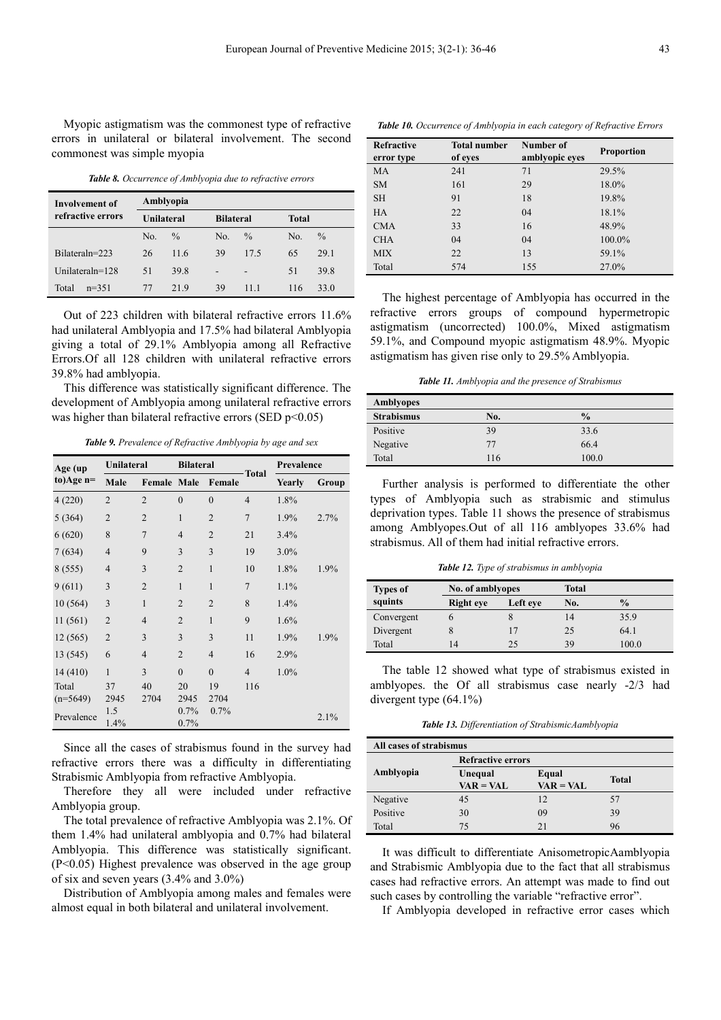Myopic astigmatism was the commonest type of refractive errors in unilateral or bilateral involvement. The second commonest was simple myopia

*Table 8. Occurrence of Amblyopia due to refractive errors* 

| Involvement of     | Amblyopia  |               |     |                  |     |               |  |  |  |
|--------------------|------------|---------------|-----|------------------|-----|---------------|--|--|--|
| refractive errors  | Unilateral |               |     | <b>Bilateral</b> |     | <b>Total</b>  |  |  |  |
|                    | No.        | $\frac{0}{0}$ | No. | $\frac{0}{0}$    | No. | $\frac{0}{0}$ |  |  |  |
| Bilateraln=223     | 26         | 11.6          | 39  | 17.5             | 65  | 29.1          |  |  |  |
| Unilateraln= $128$ | 51         | 39.8          | -   | -                | 51  | 39.8          |  |  |  |
| Total<br>$n=351$   | 77         | 219           | 39  | 11 1             | 116 | 33.0          |  |  |  |

Out of 223 children with bilateral refractive errors 11.6% had unilateral Amblyopia and 17.5% had bilateral Amblyopia giving a total of 29.1% Amblyopia among all Refractive Errors.Of all 128 children with unilateral refractive errors 39.8% had amblyopia.

This difference was statistically significant difference. The development of Amblyopia among unilateral refractive errors was higher than bilateral refractive errors (SED  $p<0.05$ )

*Table 9. Prevalence of Refractive Amblyopia by age and sex* 

| Age (up     | Unilateral     |                    | <b>Bilateral</b> |                |                |         | Prevalence |  |  |
|-------------|----------------|--------------------|------------------|----------------|----------------|---------|------------|--|--|
| to)Age $n=$ | Male           | <b>Female Male</b> |                  | Female         | <b>Total</b>   | Yearly  | Group      |  |  |
| 4(220)      | $\overline{2}$ | $\overline{2}$     | $\theta$         | $\theta$       | $\overline{4}$ | 1.8%    |            |  |  |
| 5(364)      | $\overline{2}$ | $\overline{2}$     | $\mathbf{1}$     | $\overline{2}$ | $\overline{7}$ | 1.9%    | 2.7%       |  |  |
| 6(620)      | 8              | $\overline{7}$     | $\overline{4}$   | $\overline{2}$ | 21             | 3.4%    |            |  |  |
| 7(634)      | $\overline{4}$ | 9                  | 3                | 3              | 19             | $3.0\%$ |            |  |  |
| 8(555)      | $\overline{4}$ | 3                  | $\overline{2}$   | $\mathbf{1}$   | 10             | 1.8%    | 1.9%       |  |  |
| 9(611)      | 3              | $\overline{2}$     | $\mathbf{1}$     | $\mathbf{1}$   | $\overline{7}$ | 1.1%    |            |  |  |
| 10(564)     | 3              | $\mathbf{1}$       | $\overline{2}$   | $\overline{2}$ | 8              | 1.4%    |            |  |  |
| 11(561)     | $\overline{2}$ | $\overline{4}$     | $\overline{2}$   | $\mathbf{1}$   | 9              | 1.6%    |            |  |  |
| 12(565)     | $\overline{2}$ | 3                  | 3                | 3              | 11             | 1.9%    | 1.9%       |  |  |
| 13 (545)    | 6              | $\overline{4}$     | $\overline{2}$   | $\overline{4}$ | 16             | 2.9%    |            |  |  |
| 14(410)     | $\mathbf{1}$   | 3                  | $\theta$         | $\theta$       | $\overline{4}$ | 1.0%    |            |  |  |
| Total       | 37             | 40                 | 20               | 19             | 116            |         |            |  |  |
| $(n=5649)$  | 2945           | 2704               | 2945             | 2704           |                |         |            |  |  |
| Prevalence  | 1.5<br>1.4%    |                    | 0.7%<br>0.7%     | 0.7%           |                |         | 2.1%       |  |  |

Since all the cases of strabismus found in the survey had refractive errors there was a difficulty in differentiating Strabismic Amblyopia from refractive Amblyopia.

Therefore they all were included under refractive Amblyopia group.

The total prevalence of refractive Amblyopia was 2.1%. Of them 1.4% had unilateral amblyopia and 0.7% had bilateral Amblyopia. This difference was statistically significant. (P<0.05) Highest prevalence was observed in the age group of six and seven years (3.4% and 3.0%)

Distribution of Amblyopia among males and females were almost equal in both bilateral and unilateral involvement.

*Table 10. Occurrence of Amblyopia in each category of Refractive Errors* 

| <b>Refractive</b><br>error type | <b>Total number</b><br>of eyes | Number of<br>amblyopic eyes | <b>Proportion</b> |
|---------------------------------|--------------------------------|-----------------------------|-------------------|
| <b>MA</b>                       | 241                            | 71                          | 29.5%             |
| <b>SM</b>                       | 161                            | 29                          | 18.0%             |
| <b>SH</b>                       | 91                             | 18                          | 19.8%             |
| <b>HA</b>                       | 22                             | 04                          | 18.1%             |
| <b>CMA</b>                      | 33                             | 16                          | 48.9%             |
| <b>CHA</b>                      | 04                             | 04                          | 100.0%            |
| <b>MIX</b>                      | 22                             | 13                          | 59.1%             |
| Total                           | 574                            | 155                         | 27.0%             |

The highest percentage of Amblyopia has occurred in the refractive errors groups of compound hypermetropic astigmatism (uncorrected) 100.0%, Mixed astigmatism 59.1%, and Compound myopic astigmatism 48.9%. Myopic astigmatism has given rise only to 29.5% Amblyopia.

*Table 11. Amblyopia and the presence of Strabismus* 

| Amblyopes         |     |               |
|-------------------|-----|---------------|
| <b>Strabismus</b> | No. | $\frac{0}{0}$ |
| Positive          | 39  | 33.6          |
| Negative          | 77  | 66.4          |
| Total             | 116 | 100.0         |

Further analysis is performed to differentiate the other types of Amblyopia such as strabismic and stimulus deprivation types. Table 11 shows the presence of strabismus among Amblyopes.Out of all 116 amblyopes 33.6% had strabismus. All of them had initial refractive errors.

*Table 12. Type of strabismus in amblyopia* 

| <b>Types of</b> | No. of amblyopes |          | Total |               |
|-----------------|------------------|----------|-------|---------------|
| squints         | <b>Right</b> eye | Left eve | No.   | $\frac{0}{0}$ |
| Convergent      |                  |          | 14    | 35.9          |
| Divergent       |                  | 17       | 25    | 64.1          |
| Total           | $\overline{4}$   | 25       | 39    | 100.0         |

The table 12 showed what type of strabismus existed in amblyopes. the Of all strabismus case nearly -2/3 had divergent type (64.1%)

*Table 13. Differentiation of StrabismicAamblyopia* 

| All cases of strabismus |                          |                      |       |  |  |  |  |
|-------------------------|--------------------------|----------------------|-------|--|--|--|--|
|                         | <b>Refractive errors</b> |                      |       |  |  |  |  |
| Amblyopia               | Unequal<br>$VAR = VAL$   | Equal<br>$VAR = VAL$ | Total |  |  |  |  |
| Negative                | 45                       | 12                   | 57    |  |  |  |  |
| Positive                | 30                       | 09                   | 39    |  |  |  |  |
| Total                   | 75                       | 21                   | 96    |  |  |  |  |

It was difficult to differentiate AnisometropicAamblyopia and Strabismic Amblyopia due to the fact that all strabismus cases had refractive errors. An attempt was made to find out such cases by controlling the variable "refractive error".

If Amblyopia developed in refractive error cases which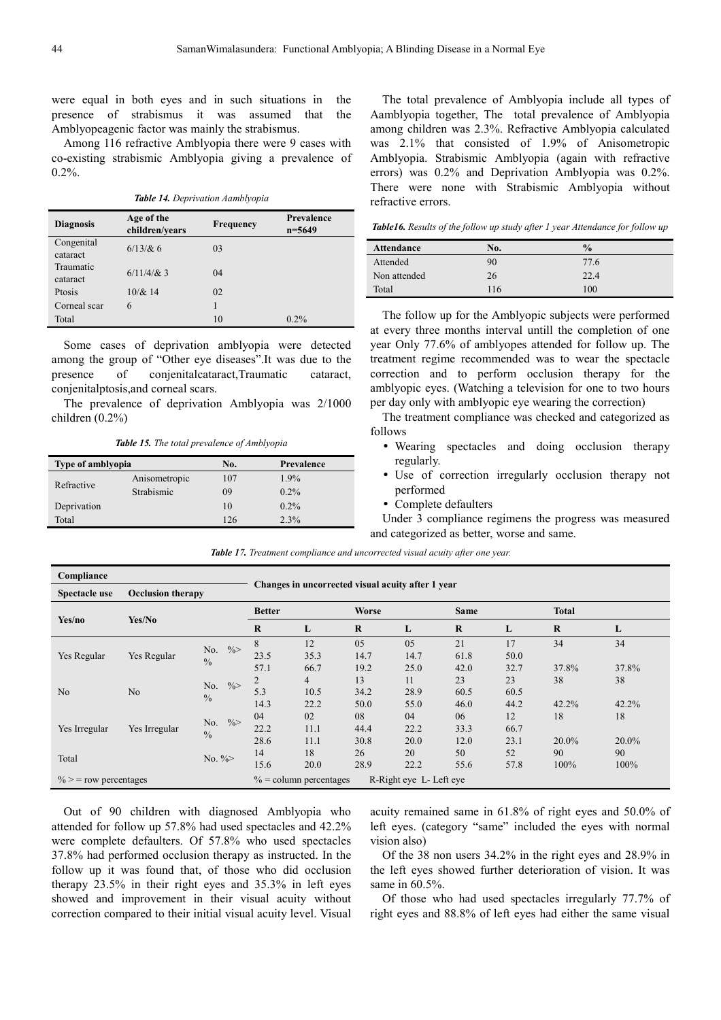were equal in both eyes and in such situations in the presence of strabismus it was assumed that the Amblyopeagenic factor was mainly the strabismus.

Among 116 refractive Amblyopia there were 9 cases with co-existing strabismic Amblyopia giving a prevalence of 0.2%.

*Table 14. Deprivation Aamblyopia* 

| <b>Diagnosis</b>       | Age of the<br>children/vears | <b>Frequency</b> | Prevalence<br>$n = 5649$ |
|------------------------|------------------------------|------------------|--------------------------|
| Congenital<br>cataract | $6/13/8c$ 6                  | 03               |                          |
| Traumatic<br>cataract  | $6/11/4/8$ : 3               | 04               |                          |
| Ptosis                 | $10/\& 14$                   | 02               |                          |
| Corneal scar           | 6                            |                  |                          |
| Total                  |                              | 10               | $0.2\%$                  |

Some cases of deprivation amblyopia were detected among the group of "Other eye diseases".It was due to the presence of conjenitalcataract,Traumatic cataract, conjenitalptosis,and corneal scars.

The prevalence of deprivation Amblyopia was 2/1000 children (0.2%)

*Table 15. The total prevalence of Amblyopia* 

| Type of amblyopia |               | No. | Prevalence |
|-------------------|---------------|-----|------------|
|                   | Anisometropic | 107 | $1.9\%$    |
| Refractive        | Strabismic    | 09  | $0.2\%$    |
| Deprivation       |               | 10  | $0.2\%$    |
| Total             |               | 126 | 2.3%       |

The total prevalence of Amblyopia include all types of Aamblyopia together, The total prevalence of Amblyopia among children was 2.3%. Refractive Amblyopia calculated was 2.1% that consisted of 1.9% of Anisometropic Amblyopia. Strabismic Amblyopia (again with refractive errors) was 0.2% and Deprivation Amblyopia was 0.2%. There were none with Strabismic Amblyopia without refractive errors.

*Table16. Results of the follow up study after 1 year Attendance for follow up* 

| <b>Attendance</b> | No. | $\frac{0}{0}$ |
|-------------------|-----|---------------|
| Attended          | 90  | 77.6          |
| Non attended      | 26  | 22.4          |
| Total             | 116 | 100           |

The follow up for the Amblyopic subjects were performed at every three months interval untill the completion of one year Only 77.6% of amblyopes attended for follow up. The treatment regime recommended was to wear the spectacle correction and to perform occlusion therapy for the amblyopic eyes. (Watching a television for one to two hours per day only with amblyopic eye wearing the correction)

The treatment compliance was checked and categorized as follows

- Wearing spectacles and doing occlusion therapy regularly.
- Use of correction irregularly occlusion therapy not performed
- Complete defaulters

Under 3 compliance regimens the progress was measured and categorized as better, worse and same.

| Compliance                       |                          |                      |                | Changes in uncorrected visual acuity after 1 year |              |                         |             |       |              |      |
|----------------------------------|--------------------------|----------------------|----------------|---------------------------------------------------|--------------|-------------------------|-------------|-------|--------------|------|
| Spectacle use                    | <b>Occlusion therapy</b> |                      |                |                                                   |              |                         |             |       |              |      |
|                                  | Yes/No                   |                      | <b>Better</b>  |                                                   | <b>Worse</b> |                         | <b>Same</b> |       | <b>Total</b> |      |
| Yes/no                           |                          |                      | $\mathbf R$    | L                                                 | $\bf{R}$     | L                       | $\bf{R}$    | L     | $\bf{R}$     | L    |
|                                  |                          | $\frac{0}{0}$<br>No. | 8              | 12                                                | 05           | 05                      | 21          | 17    | 34           | 34   |
| Yes Regular                      | Yes Regular              | $\frac{0}{0}$        | 23.5           | 35.3                                              | 14.7         | 14.7                    | 61.8        | 50.0  |              |      |
|                                  |                          | 57.1                 | 66.7           | 19.2                                              | 25.0         | 42.0                    | 32.7        | 37.8% | 37.8%        |      |
| No.<br>No<br>No<br>$\frac{0}{0}$ | $\frac{0}{0}$            | $\overline{2}$       | $\overline{4}$ | 13                                                | 11           | 23                      | 23          | 38    | 38           |      |
|                                  |                          | 5.3                  | 10.5           | 34.2                                              | 28.9         | 60.5                    | 60.5        |       |              |      |
|                                  |                          | 14.3                 | 22.2           | 50.0                                              | 55.0         | 46.0                    | 44.2        | 42.2% | 42.2%        |      |
|                                  |                          | $\frac{0}{0}$<br>No. | 04             | 02                                                | 08           | 04                      | 06          | 12    | 18           | 18   |
| Yes Irregular                    | Yes Irregular            | $\frac{0}{0}$        | 22.2           | 11.1                                              | 44.4         | 22.2                    | 33.3        | 66.7  |              |      |
|                                  |                          | 28.6                 | 11.1           | 30.8                                              | 20.0         | 12.0                    | 23.1        | 20.0% | $20.0\%$     |      |
| Total                            |                          | No. $\frac{9}{8}$    | 14             | 18                                                | 26           | 20                      | 50          | 52    | 90           | 90   |
|                                  |                          |                      | 15.6           | 20.0                                              | 28.9         | 22.2                    | 55.6        | 57.8  | 100%         | 100% |
| $\%$ > = row percentages         |                          |                      |                | $\%$ = column percentages                         |              | R-Right eye L- Left eye |             |       |              |      |

Out of 90 children with diagnosed Amblyopia who attended for follow up 57.8% had used spectacles and 42.2% were complete defaulters. Of 57.8% who used spectacles 37.8% had performed occlusion therapy as instructed. In the follow up it was found that, of those who did occlusion therapy 23.5% in their right eyes and 35.3% in left eyes showed and improvement in their visual acuity without correction compared to their initial visual acuity level. Visual

acuity remained same in 61.8% of right eyes and 50.0% of left eyes. (category "same" included the eyes with normal vision also)

Of the 38 non users 34.2% in the right eyes and 28.9% in the left eyes showed further deterioration of vision. It was same in 60.5%.

Of those who had used spectacles irregularly 77.7% of right eyes and 88.8% of left eyes had either the same visual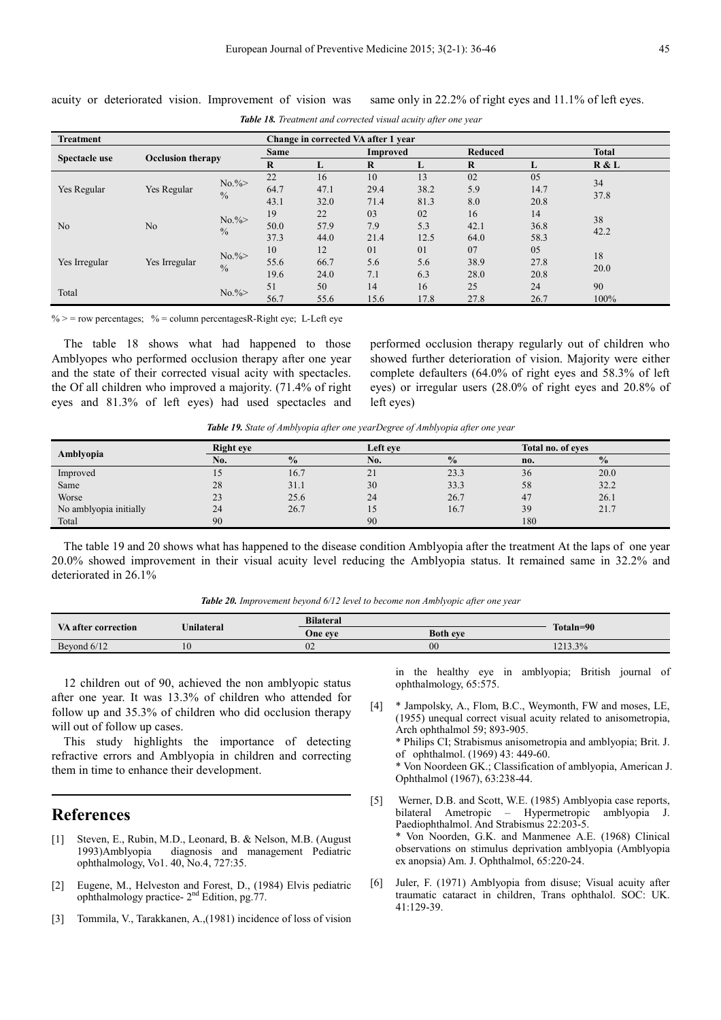| <b>Treatment</b> |                          |                           |                    |                    | Change in corrected VA after 1 year |                    |                    |                    |              |  |
|------------------|--------------------------|---------------------------|--------------------|--------------------|-------------------------------------|--------------------|--------------------|--------------------|--------------|--|
|                  |                          |                           | Same               |                    | <b>Improved</b>                     |                    | <b>Reduced</b>     |                    | <b>Total</b> |  |
| Spectacle use    | <b>Occlusion therapy</b> |                           | $\mathbf R$        | Ъ.                 | $\bf{R}$                            | L                  | $\bf{R}$           |                    | R & L        |  |
| Yes Regular      | Yes Regular              | $No. \%$<br>$\frac{0}{0}$ | 22<br>64.7<br>43.1 | 16<br>47.1<br>32.0 | 10<br>29.4<br>71.4                  | 13<br>38.2<br>81.3 | 02<br>5.9<br>8.0   | 05<br>14.7<br>20.8 | 34<br>37.8   |  |
| No               | N <sub>o</sub>           | $No. \%$<br>$\frac{0}{0}$ | 19<br>50.0<br>37.3 | 22<br>57.9<br>44.0 | 03<br>7.9<br>21.4                   | 02<br>5.3<br>12.5  | 16<br>42.1<br>64.0 | 14<br>36.8<br>58.3 | 38<br>42.2   |  |
| Yes Irregular    | Yes Irregular            | $No. \%$<br>$\frac{0}{0}$ | 10<br>55.6<br>19.6 | 12<br>66.7<br>24.0 | 01<br>5.6<br>7.1                    | 01<br>5.6<br>6.3   | 07<br>38.9<br>28.0 | 05<br>27.8<br>20.8 | 18<br>20.0   |  |
| Total            |                          | $No. \%$                  | 51<br>56.7         | 50<br>55.6         | 14<br>15.6                          | 16<br>17.8         | 25<br>27.8         | 24<br>26.7         | 90<br>100%   |  |

acuity or deteriorated vision. Improvement of vision was same only in 22.2% of right eyes and 11.1% of left eyes.

*Table 18. Treatment and corrected visual acuity after one year* 

 $\%$  > = row percentages;  $\%$  = column percentagesR-Right eye; L-Left eye

The table 18 shows what had happened to those Amblyopes who performed occlusion therapy after one year and the state of their corrected visual acity with spectacles. the Of all children who improved a majority. (71.4% of right eyes and 81.3% of left eyes) had used spectacles and performed occlusion therapy regularly out of children who showed further deterioration of vision. Majority were either complete defaulters (64.0% of right eyes and 58.3% of left eyes) or irregular users (28.0% of right eyes and 20.8% of left eyes)

*Table 19. State of Amblyopia after one yearDegree of Amblyopia after one year* 

| Amblyopia              | <b>Right eye</b> |               | Left eve |               | Total no. of eves |               |
|------------------------|------------------|---------------|----------|---------------|-------------------|---------------|
|                        | No.              | $\frac{0}{0}$ | No.      | $\frac{0}{0}$ | no.               | $\frac{0}{0}$ |
| Improved               | L J              | 16.7          | 21       | 23.3          | 36                | 20.0          |
| Same                   | 28               | 31.1          | 30       | 33.3          | 58                | 32.2          |
| Worse                  | 23               | 25.6          | 24       | 26.7          | 47                | 26.1          |
| No amblyopia initially | 24               | 26.7          | 15       | 16.7          | 39                | 21.7          |
| Total                  | 90               |               | 90       |               | 180               |               |

The table 19 and 20 shows what has happened to the disease condition Amblyopia after the treatment At the laps of one year 20.0% showed improvement in their visual acuity level reducing the Amblyopia status. It remained same in 32.2% and deteriorated in 26.1%

*Table 20. Improvement beyond 6/12 level to become non Amblyopic after one year* 

| VA after correction | <b>Unilateral</b> | <b>Bilateral</b> |                 | Totaln=90 |  |
|---------------------|-------------------|------------------|-----------------|-----------|--|
|                     |                   | One eve          | <b>Both eve</b> |           |  |
| Beyond 6/12         | 10                | UZ               | $00\,$          | 1213.3%   |  |

12 children out of 90, achieved the non amblyopic status after one year. It was 13.3% of children who attended for follow up and 35.3% of children who did occlusion therapy will out of follow up cases.

This study highlights the importance of detecting refractive errors and Amblyopia in children and correcting them in time to enhance their development.

## **References**

- [1] Steven, E., Rubin, M.D., Leonard, B. & Nelson, M.B. (August 1993)Amblyopia diagnosis and management Pediatric ophthalmology, Vo1. 40, No.4, 727:35.
- [2] Eugene, M., Helveston and Forest, D., (1984) Elvis pediatric ophthalmology practice- 2nd Edition, pg.77.
- [3] Tommila, V., Tarakkanen, A.,(1981) incidence of loss of vision

in the healthy eye in amblyopia; British journal of ophthalmology, 65:575.

[4] \* Jampolsky, A., Flom, B.C., Weymonth, FW and moses, LE, (1955) unequal correct visual acuity related to anisometropia, Arch ophthalmol 59; 893-905. \* Philips CI; Strabismus anisometropia and amblyopia; Brit. J. of ophthalmol. (1969) 43: 449-60. \* Von Noordeen GK.; Classification of amblyopia, American J. Ophthalmol (1967), 63:238-44.

- [5] Werner, D.B. and Scott, W.E. (1985) Amblyopia case reports, bilateral Ametropic – Hypermetropic amblyopia J. Paediophthalmol. And Strabismus 22:203-5. \* Von Noorden, G.K. and Manmenee A.E. (1968) Clinical observations on stimulus deprivation amblyopia (Amblyopia ex anopsia) Am. J. Ophthalmol, 65:220-24.
- [6] Juler, F. (1971) Amblyopia from disuse; Visual acuity after traumatic cataract in children, Trans ophthalol. SOC: UK. 41:129-39.